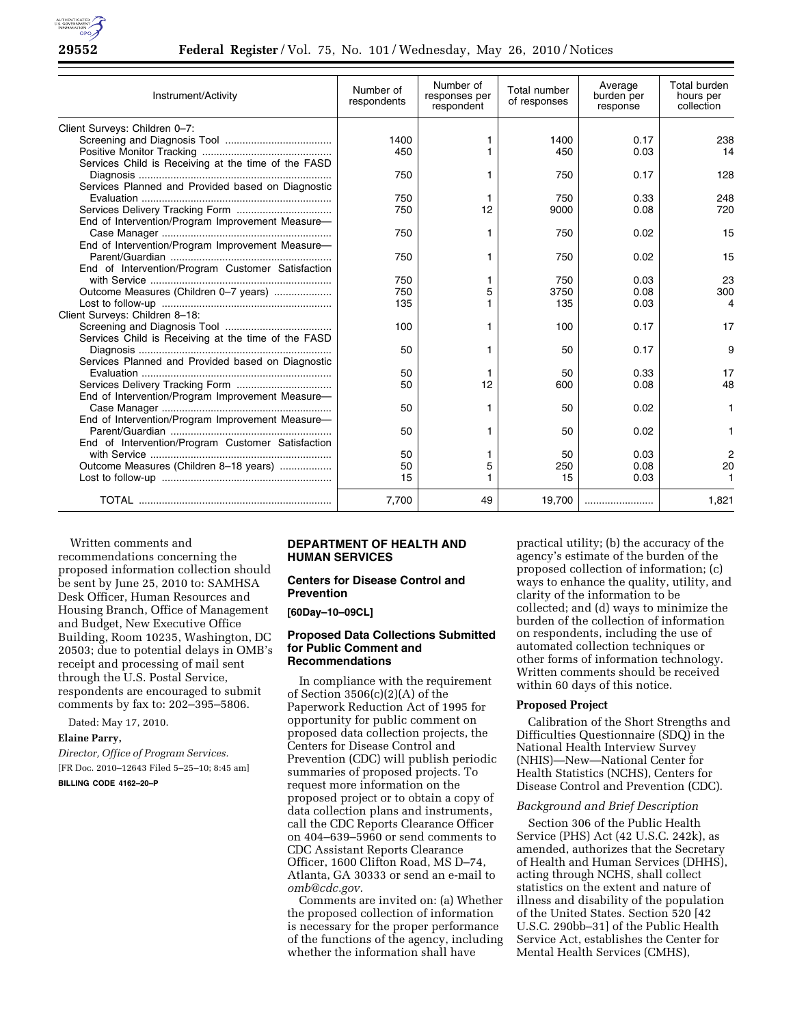

| Instrument/Activity                                 | Number of<br>respondents | Number of<br>responses per<br>respondent | Total number<br>of responses | Average<br>burden per<br>response | Total burden<br>hours per<br>collection |
|-----------------------------------------------------|--------------------------|------------------------------------------|------------------------------|-----------------------------------|-----------------------------------------|
| Client Surveys: Children 0-7:                       |                          |                                          |                              |                                   |                                         |
|                                                     | 1400                     |                                          | 1400                         | 0.17                              | 238                                     |
|                                                     | 450                      |                                          | 450                          | 0.03                              | 14                                      |
| Services Child is Receiving at the time of the FASD |                          |                                          |                              |                                   |                                         |
|                                                     | 750                      |                                          | 750                          | 0.17                              | 128                                     |
| Services Planned and Provided based on Diagnostic   |                          |                                          |                              |                                   |                                         |
|                                                     | 750                      |                                          | 750                          | 0.33                              | 248                                     |
|                                                     | 750                      | 12                                       | 9000                         | 0.08                              | 720                                     |
| End of Intervention/Program Improvement Measure-    |                          |                                          |                              |                                   |                                         |
|                                                     | 750                      | 1                                        | 750                          | 0.02                              | 15                                      |
| End of Intervention/Program Improvement Measure-    |                          |                                          |                              |                                   |                                         |
|                                                     | 750                      | 1                                        | 750                          | 0.02                              | 15                                      |
| End of Intervention/Program Customer Satisfaction   |                          |                                          |                              |                                   |                                         |
|                                                     | 750                      |                                          | 750                          | 0.03                              | 23                                      |
| Outcome Measures (Children 0-7 years)               | 750                      | 5                                        | 3750                         | 0.08                              | 300                                     |
|                                                     | 135                      |                                          | 135                          | 0.03                              | 4                                       |
| Client Surveys: Children 8-18:                      |                          |                                          |                              |                                   |                                         |
|                                                     | 100                      | 1                                        | 100                          | 0.17                              | 17                                      |
| Services Child is Receiving at the time of the FASD |                          |                                          |                              |                                   |                                         |
|                                                     | 50                       | 1                                        | 50                           | 0.17                              | 9                                       |
| Services Planned and Provided based on Diagnostic   |                          |                                          |                              |                                   |                                         |
|                                                     | 50                       | 1                                        | 50                           | 0.33                              | 17                                      |
|                                                     | 50                       | 12                                       | 600                          | 0.08                              | 48                                      |
| End of Intervention/Program Improvement Measure-    |                          |                                          |                              |                                   |                                         |
|                                                     | 50                       |                                          | 50                           | 0.02                              | 1                                       |
| End of Intervention/Program Improvement Measure-    |                          |                                          |                              |                                   |                                         |
|                                                     | 50                       |                                          | 50                           | 0.02                              |                                         |
| End of Intervention/Program Customer Satisfaction   |                          |                                          |                              |                                   |                                         |
|                                                     | 50                       |                                          | 50                           | 0.03                              | 2                                       |
| Outcome Measures (Children 8-18 years)              | 50                       | 5                                        | 250                          | 0.08                              | 20                                      |
|                                                     | 15                       |                                          | 15                           | 0.03                              |                                         |
|                                                     | 7,700                    | 49                                       | 19,700                       |                                   | 1,821                                   |

Written comments and recommendations concerning the proposed information collection should be sent by June 25, 2010 to: SAMHSA Desk Officer, Human Resources and Housing Branch, Office of Management and Budget, New Executive Office Building, Room 10235, Washington, DC 20503; due to potential delays in OMB's receipt and processing of mail sent through the U.S. Postal Service, respondents are encouraged to submit comments by fax to: 202–395–5806.

Dated: May 17, 2010.

# **Elaine Parry,**

*Director, Office of Program Services.*  [FR Doc. 2010–12643 Filed 5–25–10; 8:45 am]

## **BILLING CODE 4162–20–P**

### **DEPARTMENT OF HEALTH AND HUMAN SERVICES**

### **Centers for Disease Control and Prevention**

**[60Day–10–09CL]** 

## **Proposed Data Collections Submitted for Public Comment and Recommendations**

In compliance with the requirement of Section 3506(c)(2)(A) of the Paperwork Reduction Act of 1995 for opportunity for public comment on proposed data collection projects, the Centers for Disease Control and Prevention (CDC) will publish periodic summaries of proposed projects. To request more information on the proposed project or to obtain a copy of data collection plans and instruments, call the CDC Reports Clearance Officer on 404–639–5960 or send comments to CDC Assistant Reports Clearance Officer, 1600 Clifton Road, MS D–74, Atlanta, GA 30333 or send an e-mail to *omb@cdc.gov.* 

Comments are invited on: (a) Whether the proposed collection of information is necessary for the proper performance of the functions of the agency, including whether the information shall have

practical utility; (b) the accuracy of the agency's estimate of the burden of the proposed collection of information; (c) ways to enhance the quality, utility, and clarity of the information to be collected; and (d) ways to minimize the burden of the collection of information on respondents, including the use of automated collection techniques or other forms of information technology. Written comments should be received within 60 days of this notice.

## **Proposed Project**

Calibration of the Short Strengths and Difficulties Questionnaire (SDQ) in the National Health Interview Survey (NHIS)—New—National Center for Health Statistics (NCHS), Centers for Disease Control and Prevention (CDC).

#### *Background and Brief Description*

Section 306 of the Public Health Service (PHS) Act (42 U.S.C. 242k), as amended, authorizes that the Secretary of Health and Human Services (DHHS), acting through NCHS, shall collect statistics on the extent and nature of illness and disability of the population of the United States. Section 520 [42 U.S.C. 290bb–31] of the Public Health Service Act, establishes the Center for Mental Health Services (CMHS),